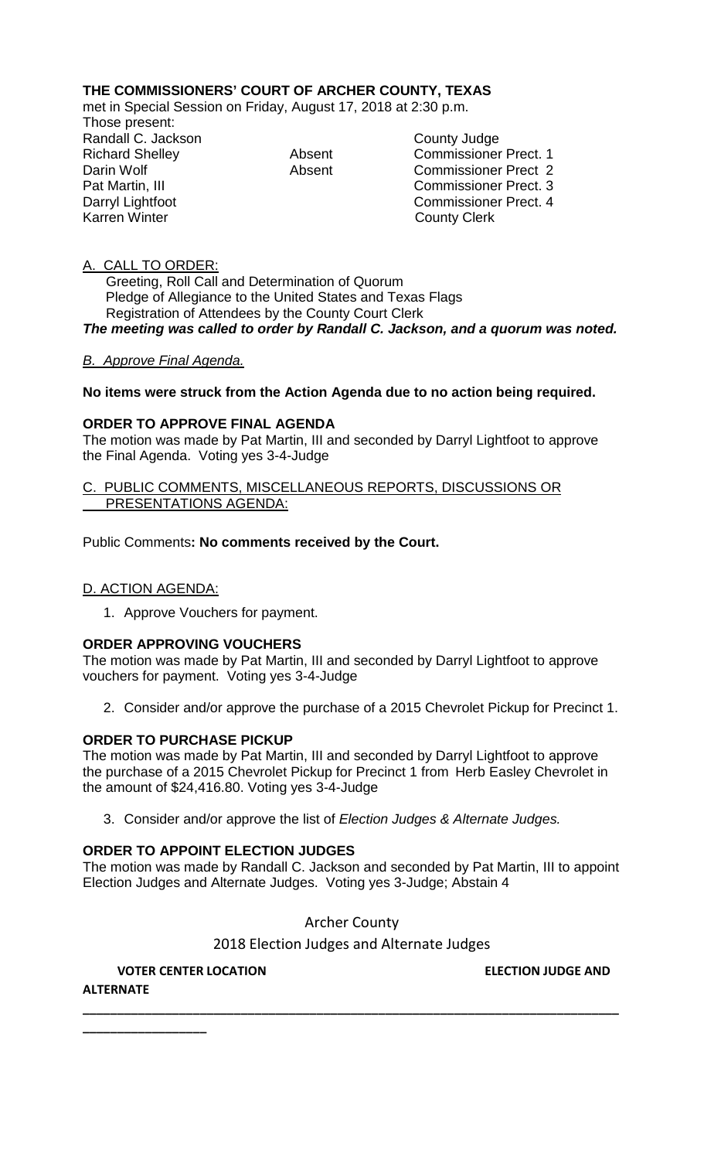# **THE COMMISSIONERS' COURT OF ARCHER COUNTY, TEXAS**

met in Special Session on Friday, August 17, 2018 at 2:30 p.m.

Those present: Randall C. Jackson County Judge<br>
Richard Shelley Commissioner<br>
Absent Commissioner

Absent Commissioner Prect. 1 Darin Wolf **Absent** Commissioner Prect 2 Pat Martin, III Commissioner Prect. 3 Darryl Lightfoot **Commissioner Prect. 4**<br>Karren Winter **Commissioner Prect. 4 County Clerk** 

# A. CALL TO ORDER:

 Greeting, Roll Call and Determination of Quorum Pledge of Allegiance to the United States and Texas Flags Registration of Attendees by the County Court Clerk *The meeting was called to order by Randall C. Jackson, and a quorum was noted.*

### *B. Approve Final Agenda.*

# **No items were struck from the Action Agenda due to no action being required.**

# **ORDER TO APPROVE FINAL AGENDA**

The motion was made by Pat Martin, III and seconded by Darryl Lightfoot to approve the Final Agenda. Voting yes 3-4-Judge

#### C. PUBLIC COMMENTS, MISCELLANEOUS REPORTS, DISCUSSIONS OR PRESENTATIONS AGENDA:

Public Comments**: No comments received by the Court.**

# D. ACTION AGENDA:

1. Approve Vouchers for payment.

### **ORDER APPROVING VOUCHERS**

The motion was made by Pat Martin, III and seconded by Darryl Lightfoot to approve vouchers for payment. Voting yes 3-4-Judge

2. Consider and/or approve the purchase of a 2015 Chevrolet Pickup for Precinct 1.

### **ORDER TO PURCHASE PICKUP**

The motion was made by Pat Martin, III and seconded by Darryl Lightfoot to approve the purchase of a 2015 Chevrolet Pickup for Precinct 1 from Herb Easley Chevrolet in the amount of \$24,416.80. Voting yes 3-4-Judge

3. Consider and/or approve the list of *Election Judges & Alternate Judges.*

### **ORDER TO APPOINT ELECTION JUDGES**

The motion was made by Randall C. Jackson and seconded by Pat Martin, III to appoint Election Judges and Alternate Judges. Voting yes 3-Judge; Abstain 4

Archer County

2018 Election Judges and Alternate Judges

**\_\_\_\_\_\_\_\_\_\_\_\_\_\_\_\_\_\_\_\_\_\_\_\_\_\_\_\_\_\_\_\_\_\_\_\_\_\_\_\_\_\_\_\_\_\_\_\_\_\_\_\_\_\_\_\_\_\_\_\_\_\_\_\_\_\_\_\_\_\_\_\_\_\_\_\_\_\_**

# **VOTER CENTER LOCATION ELECTION JUDGE AND**

**ALTERNATE**

**\_\_\_\_\_\_\_\_\_\_\_\_\_\_\_\_\_\_**